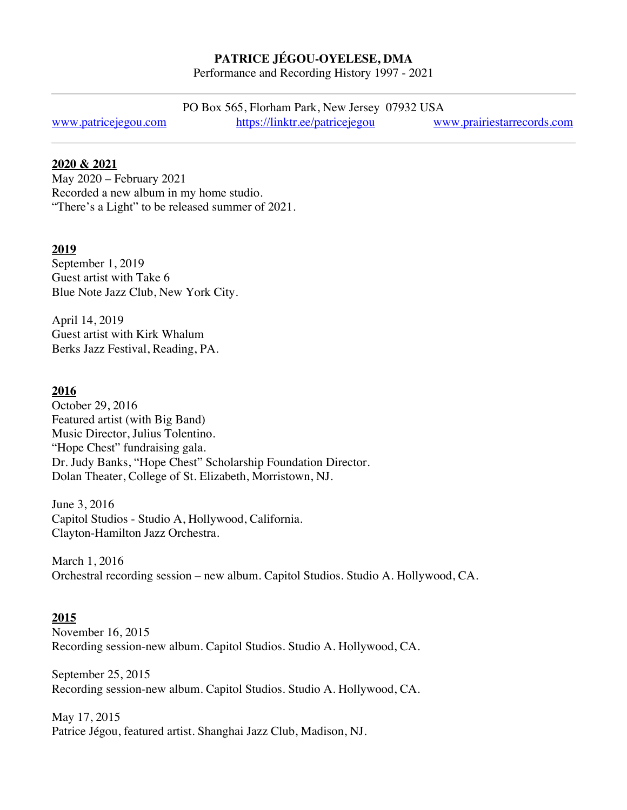# **PATRICE JÉGOU-OYELESE, DMA**

Performance and Recording History 1997 - 2021

PO Box 565, Florham Park, New Jersey 07932 USA www.patricejegou.com https://linktr.ee/patricejegou www.prairiestarrecords.com

#### **2020 & 2021**

May 2020 – February 2021 Recorded a new album in my home studio. "There's a Light" to be released summer of 2021.

#### **2019**

September 1, 2019 Guest artist with Take 6 Blue Note Jazz Club, New York City.

April 14, 2019 Guest artist with Kirk Whalum Berks Jazz Festival, Reading, PA.

#### **2016**

October 29, 2016 Featured artist (with Big Band) Music Director, Julius Tolentino. "Hope Chest" fundraising gala. Dr. Judy Banks, "Hope Chest" Scholarship Foundation Director. Dolan Theater, College of St. Elizabeth, Morristown, NJ.

June 3, 2016 Capitol Studios - Studio A, Hollywood, California. Clayton-Hamilton Jazz Orchestra.

March 1, 2016 Orchestral recording session – new album. Capitol Studios. Studio A. Hollywood, CA.

#### **2015**

November 16, 2015 Recording session-new album. Capitol Studios. Studio A. Hollywood, CA.

September 25, 2015 Recording session-new album. Capitol Studios. Studio A. Hollywood, CA.

May 17, 2015 Patrice Jégou, featured artist. Shanghai Jazz Club, Madison, NJ.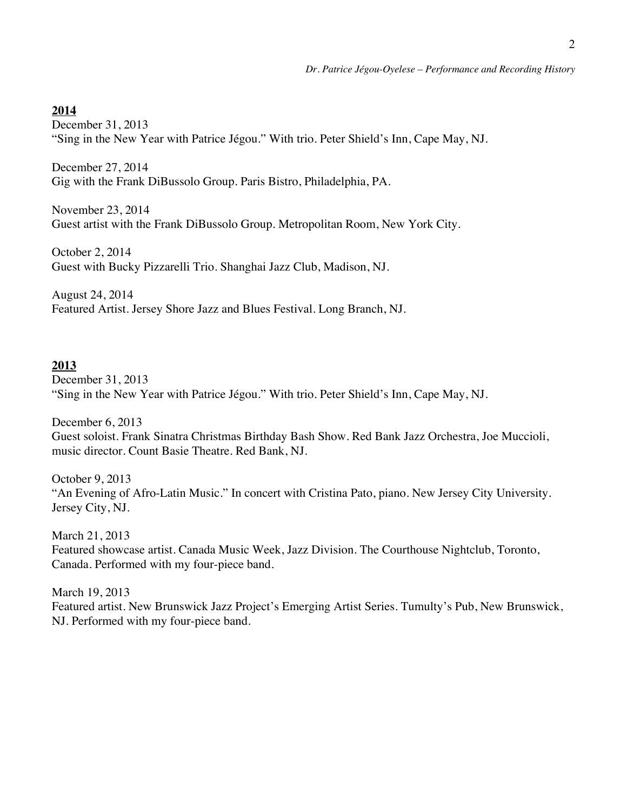2

# **2014**

December 31, 2013 "Sing in the New Year with Patrice Jégou." With trio. Peter Shield's Inn, Cape May, NJ.

December 27, 2014 Gig with the Frank DiBussolo Group. Paris Bistro, Philadelphia, PA.

November 23, 2014 Guest artist with the Frank DiBussolo Group. Metropolitan Room, New York City.

October 2, 2014 Guest with Bucky Pizzarelli Trio. Shanghai Jazz Club, Madison, NJ.

August 24, 2014 Featured Artist. Jersey Shore Jazz and Blues Festival. Long Branch, NJ.

# **2013**

December 31, 2013 "Sing in the New Year with Patrice Jégou." With trio. Peter Shield's Inn, Cape May, NJ.

December 6, 2013 Guest soloist. Frank Sinatra Christmas Birthday Bash Show. Red Bank Jazz Orchestra, Joe Muccioli, music director. Count Basie Theatre. Red Bank, NJ.

October 9, 2013 "An Evening of Afro-Latin Music." In concert with Cristina Pato, piano. New Jersey City University. Jersey City, NJ.

March 21, 2013 Featured showcase artist. Canada Music Week, Jazz Division. The Courthouse Nightclub, Toronto, Canada. Performed with my four-piece band.

March 19, 2013 Featured artist. New Brunswick Jazz Project's Emerging Artist Series. Tumulty's Pub, New Brunswick, NJ. Performed with my four-piece band.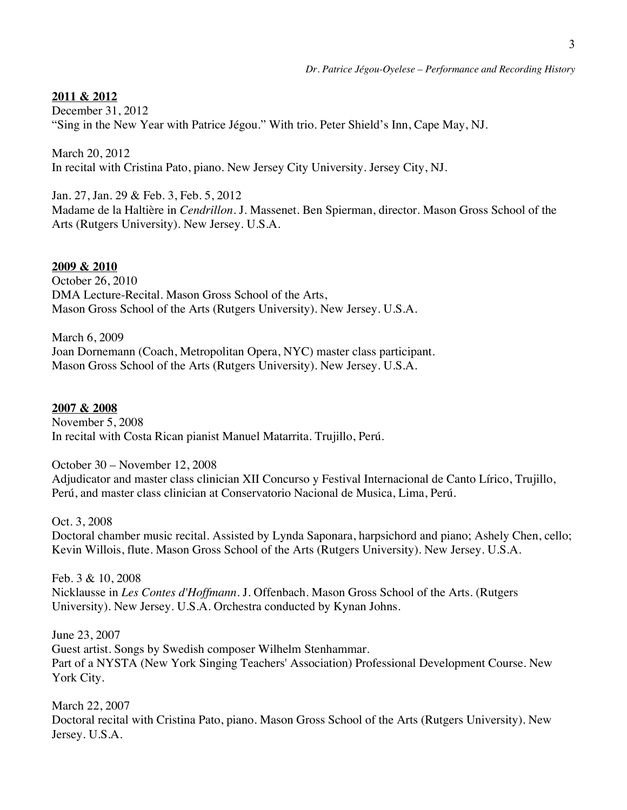# **2011 & 2012**

December 31, 2012 "Sing in the New Year with Patrice Jégou." With trio. Peter Shield's Inn, Cape May, NJ.

March 20, 2012 In recital with Cristina Pato, piano. New Jersey City University. Jersey City, NJ.

Jan. 27, Jan. 29 & Feb. 3, Feb. 5, 2012 Madame de la Haltière in *Cendrillon*. J. Massenet. Ben Spierman, director. Mason Gross School of the Arts (Rutgers University). New Jersey. U.S.A.

# **2009 & 2010**

October 26, 2010 DMA Lecture-Recital. Mason Gross School of the Arts, Mason Gross School of the Arts (Rutgers University). New Jersey. U.S.A.

### March 6, 2009

Joan Dornemann (Coach, Metropolitan Opera, NYC) master class participant. Mason Gross School of the Arts (Rutgers University). New Jersey. U.S.A.

### **2007 & 2008**

November 5, 2008 In recital with Costa Rican pianist Manuel Matarrita. Trujillo, Perú.

October 30 – November 12, 2008

Adjudicator and master class clinician XII Concurso y Festival Internacional de Canto Lírico, Trujillo, Perú, and master class clinician at Conservatorio Nacional de Musica, Lima, Perú.

### Oct. 3, 2008

Doctoral chamber music recital. Assisted by Lynda Saponara, harpsichord and piano; Ashely Chen, cello; Kevin Willois, flute. Mason Gross School of the Arts (Rutgers University). New Jersey. U.S.A.

Feb. 3 & 10, 2008 Nicklausse in *Les Contes d'Hoffmann*. J. Offenbach. Mason Gross School of the Arts. (Rutgers University). New Jersey. U.S.A. Orchestra conducted by Kynan Johns.

June 23, 2007 Guest artist. Songs by Swedish composer Wilhelm Stenhammar. Part of a NYSTA (New York Singing Teachers' Association) Professional Development Course. New York City.

March 22, 2007 Doctoral recital with Cristina Pato, piano. Mason Gross School of the Arts (Rutgers University). New Jersey. U.S.A.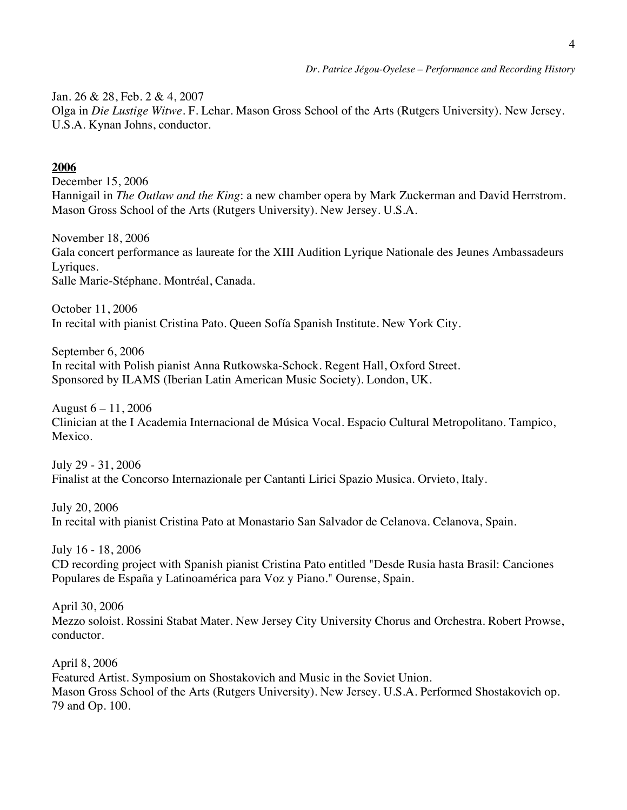4

Jan. 26 & 28, Feb. 2 & 4, 2007

Olga in *Die Lustige Witwe*. F. Lehar. Mason Gross School of the Arts (Rutgers University). New Jersey. U.S.A. Kynan Johns, conductor.

### **2006**

December 15, 2006 Hannigail in *The Outlaw and the King*: a new chamber opera by Mark Zuckerman and David Herrstrom. Mason Gross School of the Arts (Rutgers University). New Jersey. U.S.A.

November 18, 2006 Gala concert performance as laureate for the XIII Audition Lyrique Nationale des Jeunes Ambassadeurs Lyriques. Salle Marie-Stéphane. Montréal, Canada.

October 11, 2006 In recital with pianist Cristina Pato. Queen Sofía Spanish Institute. New York City.

September 6, 2006 In recital with Polish pianist Anna Rutkowska-Schock. Regent Hall, Oxford Street. Sponsored by ILAMS (Iberian Latin American Music Society). London, UK.

August 6 – 11, 2006 Clinician at the I Academia Internacional de Música Vocal. Espacio Cultural Metropolitano. Tampico, Mexico.

July 29 - 31, 2006 Finalist at the Concorso Internazionale per Cantanti Lirici Spazio Musica. Orvieto, Italy.

July 20, 2006 In recital with pianist Cristina Pato at Monastario San Salvador de Celanova. Celanova, Spain.

July 16 - 18, 2006 CD recording project with Spanish pianist Cristina Pato entitled "Desde Rusia hasta Brasil: Canciones Populares de España y Latinoamérica para Voz y Piano." Ourense, Spain.

April 30, 2006 Mezzo soloist. Rossini Stabat Mater. New Jersey City University Chorus and Orchestra. Robert Prowse, conductor.

April 8, 2006 Featured Artist. Symposium on Shostakovich and Music in the Soviet Union. Mason Gross School of the Arts (Rutgers University). New Jersey. U.S.A. Performed Shostakovich op. 79 and Op. 100.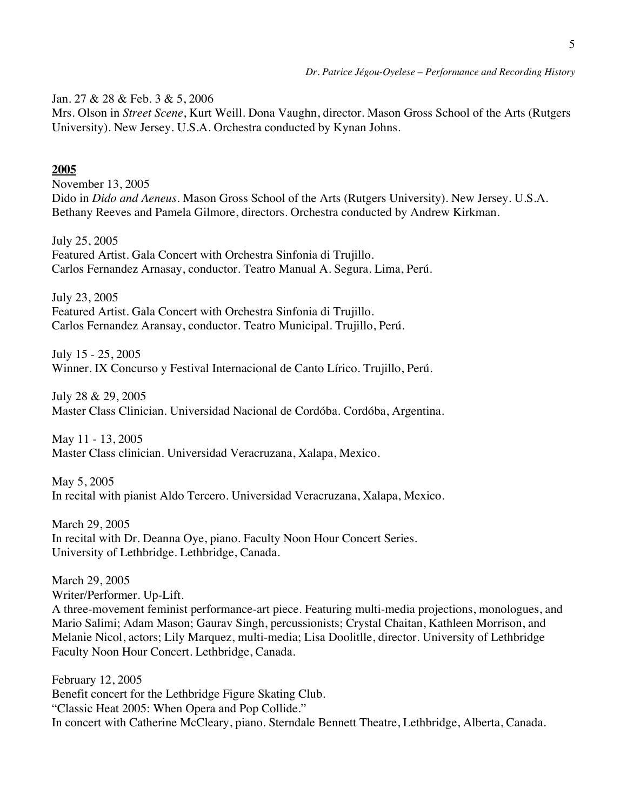Jan. 27 & 28 & Feb. 3 & 5, 2006

Mrs. Olson in *Street Scene*, Kurt Weill. Dona Vaughn, director. Mason Gross School of the Arts (Rutgers University). New Jersey. U.S.A. Orchestra conducted by Kynan Johns.

#### **2005**

November 13, 2005 Dido in *Dido and Aeneus*. Mason Gross School of the Arts (Rutgers University). New Jersey. U.S.A. Bethany Reeves and Pamela Gilmore, directors. Orchestra conducted by Andrew Kirkman.

July 25, 2005

Featured Artist. Gala Concert with Orchestra Sinfonia di Trujillo. Carlos Fernandez Arnasay, conductor. Teatro Manual A. Segura. Lima, Perú.

July 23, 2005

Featured Artist. Gala Concert with Orchestra Sinfonia di Trujillo. Carlos Fernandez Aransay, conductor. Teatro Municipal. Trujillo, Perú.

July 15 - 25, 2005

Winner. IX Concurso y Festival Internacional de Canto Lírico. Trujillo, Perú.

July 28 & 29, 2005

Master Class Clinician. Universidad Nacional de Cordóba. Cordóba, Argentina.

May 11 - 13, 2005

Master Class clinician. Universidad Veracruzana, Xalapa, Mexico.

May 5, 2005 In recital with pianist Aldo Tercero. Universidad Veracruzana, Xalapa, Mexico.

March 29, 2005 In recital with Dr. Deanna Oye, piano. Faculty Noon Hour Concert Series. University of Lethbridge. Lethbridge, Canada.

March 29, 2005 Writer/Performer. Up-Lift. A three-movement feminist performance-art piece. Featuring multi-media projections, monologues, and Mario Salimi; Adam Mason; Gaurav Singh, percussionists; Crystal Chaitan, Kathleen Morrison, and Melanie Nicol, actors; Lily Marquez, multi-media; Lisa Doolitlle, director. University of Lethbridge Faculty Noon Hour Concert. Lethbridge, Canada.

February 12, 2005 Benefit concert for the Lethbridge Figure Skating Club. "Classic Heat 2005: When Opera and Pop Collide." In concert with Catherine McCleary, piano. Sterndale Bennett Theatre, Lethbridge, Alberta, Canada.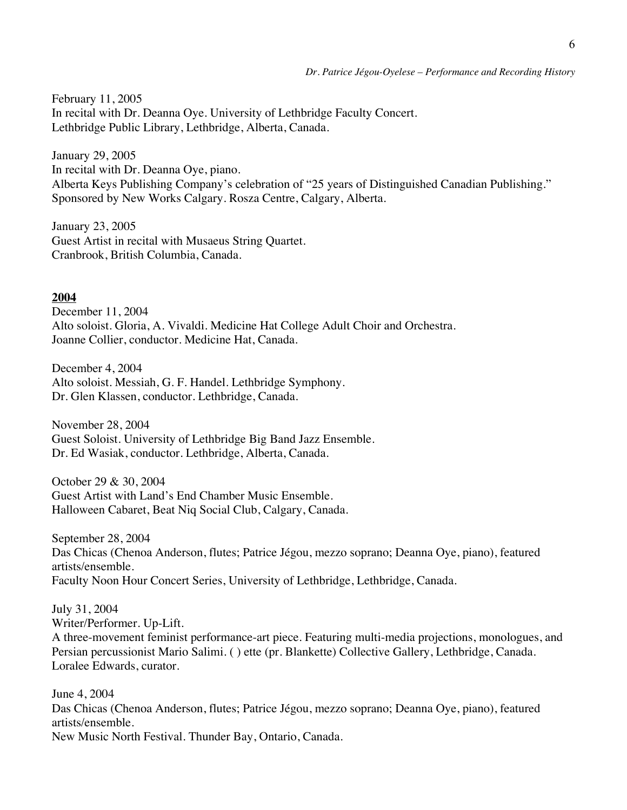February 11, 2005 In recital with Dr. Deanna Oye. University of Lethbridge Faculty Concert. Lethbridge Public Library, Lethbridge, Alberta, Canada.

January 29, 2005 In recital with Dr. Deanna Oye, piano. Alberta Keys Publishing Company's celebration of "25 years of Distinguished Canadian Publishing." Sponsored by New Works Calgary. Rosza Centre, Calgary, Alberta.

January 23, 2005 Guest Artist in recital with Musaeus String Quartet. Cranbrook, British Columbia, Canada.

#### **2004**

December 11, 2004 Alto soloist. Gloria, A. Vivaldi. Medicine Hat College Adult Choir and Orchestra. Joanne Collier, conductor. Medicine Hat, Canada.

December 4, 2004 Alto soloist. Messiah, G. F. Handel. Lethbridge Symphony. Dr. Glen Klassen, conductor. Lethbridge, Canada.

November 28, 2004 Guest Soloist. University of Lethbridge Big Band Jazz Ensemble. Dr. Ed Wasiak, conductor. Lethbridge, Alberta, Canada.

October 29 & 30, 2004 Guest Artist with Land's End Chamber Music Ensemble. Halloween Cabaret, Beat Niq Social Club, Calgary, Canada.

September 28, 2004 Das Chicas (Chenoa Anderson, flutes; Patrice Jégou, mezzo soprano; Deanna Oye, piano), featured artists/ensemble. Faculty Noon Hour Concert Series, University of Lethbridge, Lethbridge, Canada.

July 31, 2004 Writer/Performer. Up-Lift. A three-movement feminist performance-art piece. Featuring multi-media projections, monologues, and Persian percussionist Mario Salimi. ( ) ette (pr. Blankette) Collective Gallery, Lethbridge, Canada. Loralee Edwards, curator.

June 4, 2004 Das Chicas (Chenoa Anderson, flutes; Patrice Jégou, mezzo soprano; Deanna Oye, piano), featured artists/ensemble. New Music North Festival. Thunder Bay, Ontario, Canada.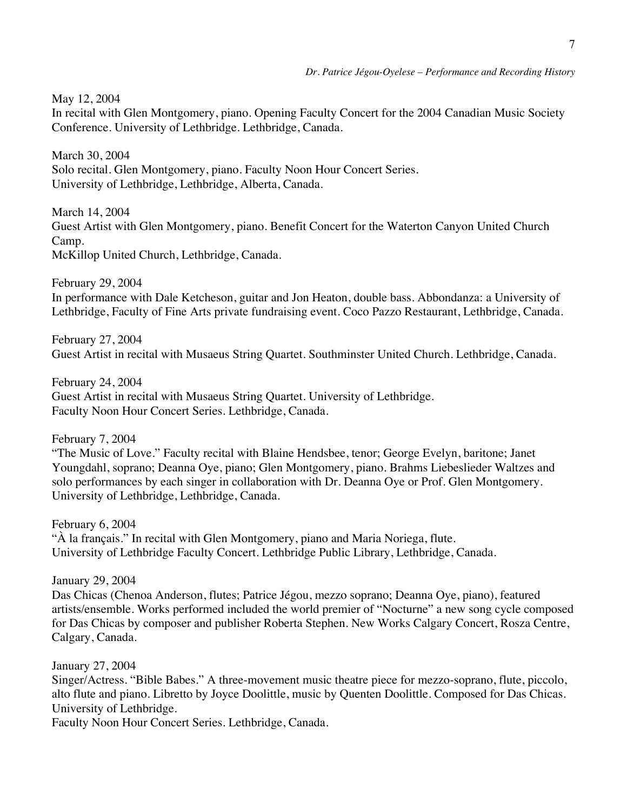May 12, 2004

In recital with Glen Montgomery, piano. Opening Faculty Concert for the 2004 Canadian Music Society Conference. University of Lethbridge. Lethbridge, Canada.

March 30, 2004 Solo recital. Glen Montgomery, piano. Faculty Noon Hour Concert Series. University of Lethbridge, Lethbridge, Alberta, Canada.

March 14, 2004 Guest Artist with Glen Montgomery, piano. Benefit Concert for the Waterton Canyon United Church Camp. McKillop United Church, Lethbridge, Canada.

February 29, 2004 In performance with Dale Ketcheson, guitar and Jon Heaton, double bass. Abbondanza: a University of Lethbridge, Faculty of Fine Arts private fundraising event. Coco Pazzo Restaurant, Lethbridge, Canada.

February 27, 2004 Guest Artist in recital with Musaeus String Quartet. Southminster United Church. Lethbridge, Canada.

February 24, 2004 Guest Artist in recital with Musaeus String Quartet. University of Lethbridge. Faculty Noon Hour Concert Series. Lethbridge, Canada.

February 7, 2004

"The Music of Love." Faculty recital with Blaine Hendsbee, tenor; George Evelyn, baritone; Janet Youngdahl, soprano; Deanna Oye, piano; Glen Montgomery, piano. Brahms Liebeslieder Waltzes and solo performances by each singer in collaboration with Dr. Deanna Oye or Prof. Glen Montgomery. University of Lethbridge, Lethbridge, Canada.

February 6, 2004 "À la français." In recital with Glen Montgomery, piano and Maria Noriega, flute. University of Lethbridge Faculty Concert. Lethbridge Public Library, Lethbridge, Canada.

January 29, 2004

Das Chicas (Chenoa Anderson, flutes; Patrice Jégou, mezzo soprano; Deanna Oye, piano), featured artists/ensemble. Works performed included the world premier of "Nocturne" a new song cycle composed for Das Chicas by composer and publisher Roberta Stephen. New Works Calgary Concert, Rosza Centre, Calgary, Canada.

January 27, 2004

Singer/Actress. "Bible Babes." A three-movement music theatre piece for mezzo-soprano, flute, piccolo, alto flute and piano. Libretto by Joyce Doolittle, music by Quenten Doolittle. Composed for Das Chicas. University of Lethbridge.

Faculty Noon Hour Concert Series. Lethbridge, Canada.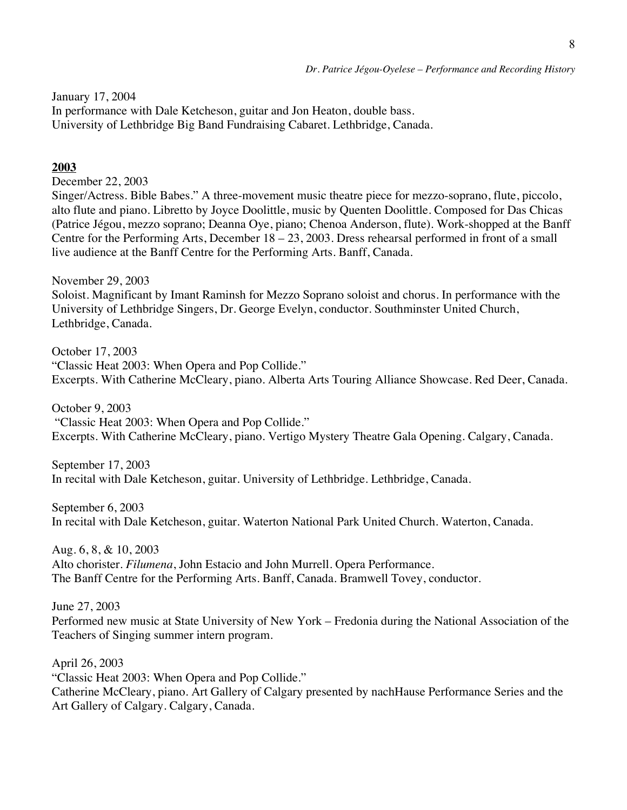8

January 17, 2004 In performance with Dale Ketcheson, guitar and Jon Heaton, double bass. University of Lethbridge Big Band Fundraising Cabaret. Lethbridge, Canada.

# **2003**

December 22, 2003 Singer/Actress. Bible Babes." A three-movement music theatre piece for mezzo-soprano, flute, piccolo, alto flute and piano. Libretto by Joyce Doolittle, music by Quenten Doolittle. Composed for Das Chicas (Patrice Jégou, mezzo soprano; Deanna Oye, piano; Chenoa Anderson, flute). Work-shopped at the Banff Centre for the Performing Arts, December 18 – 23, 2003. Dress rehearsal performed in front of a small live audience at the Banff Centre for the Performing Arts. Banff, Canada.

November 29, 2003 Soloist. Magnificant by Imant Raminsh for Mezzo Soprano soloist and chorus. In performance with the University of Lethbridge Singers, Dr. George Evelyn, conductor. Southminster United Church, Lethbridge, Canada.

October 17, 2003 "Classic Heat 2003: When Opera and Pop Collide." Excerpts. With Catherine McCleary, piano. Alberta Arts Touring Alliance Showcase. Red Deer, Canada.

October 9, 2003 "Classic Heat 2003: When Opera and Pop Collide." Excerpts. With Catherine McCleary, piano. Vertigo Mystery Theatre Gala Opening. Calgary, Canada.

September 17, 2003 In recital with Dale Ketcheson, guitar. University of Lethbridge. Lethbridge, Canada.

September 6, 2003 In recital with Dale Ketcheson, guitar. Waterton National Park United Church. Waterton, Canada.

Aug. 6, 8, & 10, 2003 Alto chorister. *Filumena*, John Estacio and John Murrell. Opera Performance. The Banff Centre for the Performing Arts. Banff, Canada. Bramwell Tovey, conductor.

June 27, 2003 Performed new music at State University of New York – Fredonia during the National Association of the Teachers of Singing summer intern program.

April 26, 2003 "Classic Heat 2003: When Opera and Pop Collide." Catherine McCleary, piano. Art Gallery of Calgary presented by nachHause Performance Series and the Art Gallery of Calgary. Calgary, Canada.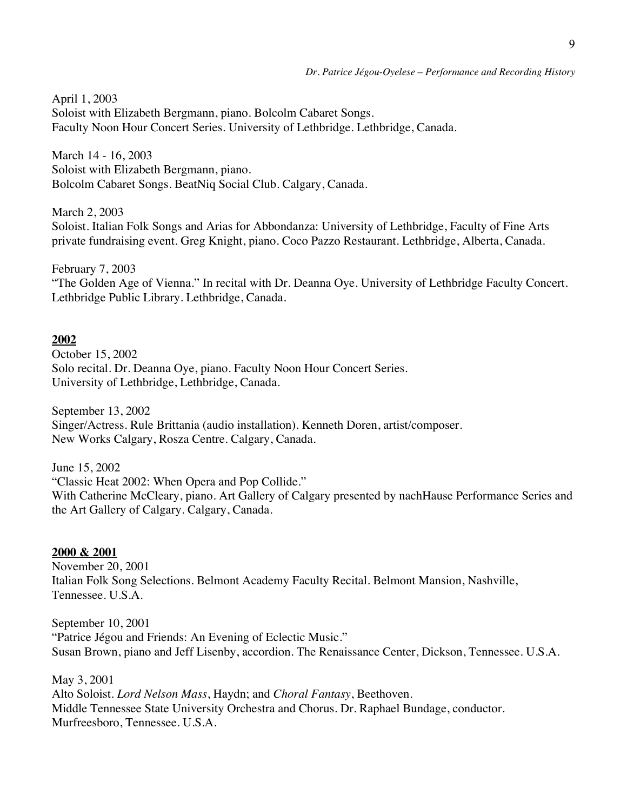April 1, 2003 Soloist with Elizabeth Bergmann, piano. Bolcolm Cabaret Songs. Faculty Noon Hour Concert Series. University of Lethbridge. Lethbridge, Canada.

March 14 - 16, 2003 Soloist with Elizabeth Bergmann, piano. Bolcolm Cabaret Songs. BeatNiq Social Club. Calgary, Canada.

March 2, 2003 Soloist. Italian Folk Songs and Arias for Abbondanza: University of Lethbridge, Faculty of Fine Arts private fundraising event. Greg Knight, piano. Coco Pazzo Restaurant. Lethbridge, Alberta, Canada.

February 7, 2003 "The Golden Age of Vienna." In recital with Dr. Deanna Oye. University of Lethbridge Faculty Concert. Lethbridge Public Library. Lethbridge, Canada.

# **2002**

October 15, 2002 Solo recital. Dr. Deanna Oye, piano. Faculty Noon Hour Concert Series. University of Lethbridge, Lethbridge, Canada.

September 13, 2002 Singer/Actress. Rule Brittania (audio installation). Kenneth Doren, artist/composer. New Works Calgary, Rosza Centre. Calgary, Canada.

June 15, 2002 "Classic Heat 2002: When Opera and Pop Collide." With Catherine McCleary, piano. Art Gallery of Calgary presented by nachHause Performance Series and the Art Gallery of Calgary. Calgary, Canada.

### **2000 & 2001**

November 20, 2001 Italian Folk Song Selections. Belmont Academy Faculty Recital. Belmont Mansion, Nashville, Tennessee. U.S.A.

September 10, 2001 "Patrice Jégou and Friends: An Evening of Eclectic Music." Susan Brown, piano and Jeff Lisenby, accordion. The Renaissance Center, Dickson, Tennessee. U.S.A.

May 3, 2001 Alto Soloist. *Lord Nelson Mass*, Haydn; and *Choral Fantasy*, Beethoven. Middle Tennessee State University Orchestra and Chorus. Dr. Raphael Bundage, conductor. Murfreesboro, Tennessee. U.S.A.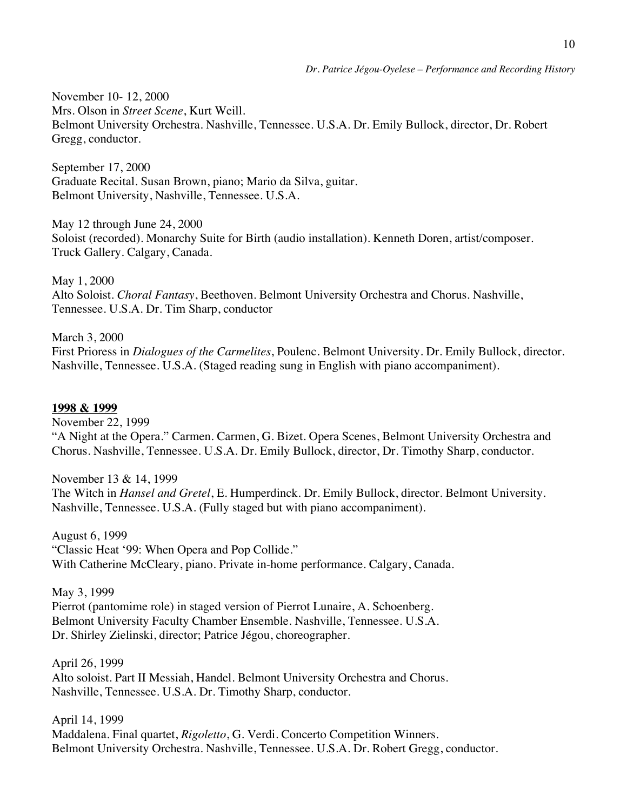November 10- 12, 2000 Mrs. Olson in *Street Scene*, Kurt Weill. Belmont University Orchestra. Nashville, Tennessee. U.S.A. Dr. Emily Bullock, director, Dr. Robert Gregg, conductor.

September 17, 2000 Graduate Recital. Susan Brown, piano; Mario da Silva, guitar. Belmont University, Nashville, Tennessee. U.S.A.

May 12 through June 24, 2000 Soloist (recorded). Monarchy Suite for Birth (audio installation). Kenneth Doren, artist/composer. Truck Gallery. Calgary, Canada.

May 1, 2000 Alto Soloist. *Choral Fantasy*, Beethoven. Belmont University Orchestra and Chorus. Nashville, Tennessee. U.S.A. Dr. Tim Sharp, conductor

March 3, 2000 First Prioress in *Dialogues of the Carmelites*, Poulenc. Belmont University. Dr. Emily Bullock, director. Nashville, Tennessee. U.S.A. (Staged reading sung in English with piano accompaniment).

### **1998 & 1999**

November 22, 1999 "A Night at the Opera." Carmen. Carmen, G. Bizet. Opera Scenes, Belmont University Orchestra and Chorus. Nashville, Tennessee. U.S.A. Dr. Emily Bullock, director, Dr. Timothy Sharp, conductor.

November 13 & 14, 1999 The Witch in *Hansel and Gretel*, E. Humperdinck. Dr. Emily Bullock, director. Belmont University. Nashville, Tennessee. U.S.A. (Fully staged but with piano accompaniment).

August 6, 1999 "Classic Heat '99: When Opera and Pop Collide." With Catherine McCleary, piano. Private in-home performance. Calgary, Canada.

May 3, 1999 Pierrot (pantomime role) in staged version of Pierrot Lunaire, A. Schoenberg. Belmont University Faculty Chamber Ensemble. Nashville, Tennessee. U.S.A. Dr. Shirley Zielinski, director; Patrice Jégou, choreographer.

April 26, 1999 Alto soloist. Part II Messiah, Handel. Belmont University Orchestra and Chorus. Nashville, Tennessee. U.S.A. Dr. Timothy Sharp, conductor.

April 14, 1999 Maddalena. Final quartet, *Rigoletto*, G. Verdi. Concerto Competition Winners. Belmont University Orchestra. Nashville, Tennessee. U.S.A. Dr. Robert Gregg, conductor.